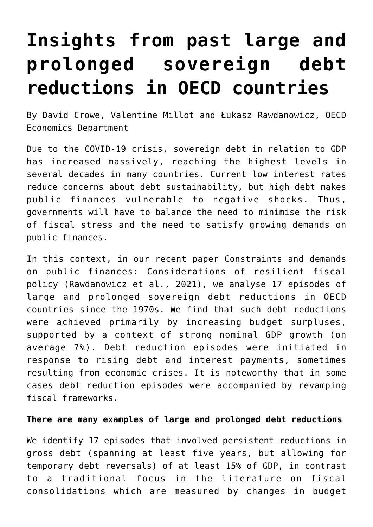## **[Insights from past large and](https://oecdecoscope.blog/2022/04/01/insights-from-past-large-and-prolonged-sovereign-debt-reductions-in-oecd-countries/) [prolonged sovereign debt](https://oecdecoscope.blog/2022/04/01/insights-from-past-large-and-prolonged-sovereign-debt-reductions-in-oecd-countries/) [reductions in OECD countries](https://oecdecoscope.blog/2022/04/01/insights-from-past-large-and-prolonged-sovereign-debt-reductions-in-oecd-countries/)**

By David Crowe, Valentine Millot and Łukasz Rawdanowicz, OECD Economics Department

Due to the COVID-19 crisis, sovereign debt in relation to GDP has increased massively, reaching the highest levels in several decades in many countries. Current low interest rates reduce concerns about debt sustainability, but high debt makes public finances vulnerable to negative shocks. Thus, governments will have to balance the need to minimise the risk of fiscal stress and the need to satisfy growing demands on public finances.

In this context, in our recent paper [Constraints and demands](https://www.oecd-ilibrary.org/docserver/602500be-en.pdf?expires=1648633486&id=id&accname=ocid84004878&checksum=0211CCCDEDCB1502F816246B7DA3966E) [on public finances: Considerations of resilient fiscal](https://www.oecd-ilibrary.org/docserver/602500be-en.pdf?expires=1648633486&id=id&accname=ocid84004878&checksum=0211CCCDEDCB1502F816246B7DA3966E) [policy](https://www.oecd-ilibrary.org/docserver/602500be-en.pdf?expires=1648633486&id=id&accname=ocid84004878&checksum=0211CCCDEDCB1502F816246B7DA3966E) (Rawdanowicz et al., 2021), we analyse 17 episodes of large and prolonged sovereign debt reductions in OECD countries since the 1970s. We find that such debt reductions were achieved primarily by increasing budget surpluses, supported by a context of strong nominal GDP growth (on average 7%). Debt reduction episodes were initiated in response to rising debt and interest payments, sometimes resulting from economic crises. It is noteworthy that in some cases debt reduction episodes were accompanied by revamping fiscal frameworks.

## **There are many examples of large and prolonged debt reductions**

We identify 17 episodes that involved persistent reductions in gross debt (spanning at least five years, but allowing for temporary debt reversals) of at least 15% of GDP, in contrast to a traditional focus in the literature on fiscal consolidations which are measured by changes in budget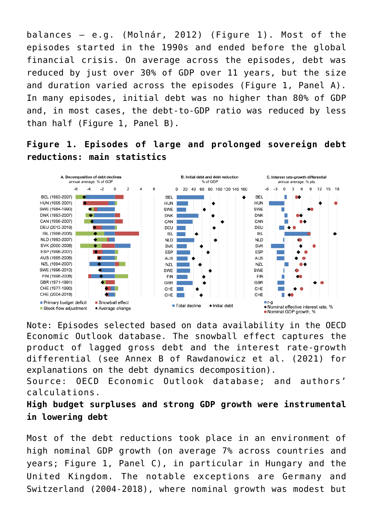balances – e.g. (Molnár, 2012) (Figure 1). Most of the episodes started in the 1990s and ended before the global financial crisis. On average across the episodes, debt was reduced by just over 30% of GDP over 11 years, but the size and duration varied across the episodes (Figure 1, Panel A). In many episodes, initial debt was no higher than 80% of GDP and, in most cases, the debt-to-GDP ratio was reduced by less than half (Figure 1, Panel B).

**Figure 1. Episodes of large and prolonged sovereign debt reductions: main statistics**



Note: Episodes selected based on data availability in the OECD Economic Outlook database. The snowball effect captures the product of lagged gross debt and the interest rate-growth differential (see Annex B of Rawdanowicz et al. (2021) for explanations on the debt dynamics decomposition).

Source: OECD Economic Outlook database; and authors' calculations.

**High budget surpluses and strong GDP growth were instrumental in lowering debt**

Most of the debt reductions took place in an environment of high nominal GDP growth (on average 7% across countries and years; Figure 1, Panel C), in particular in Hungary and the United Kingdom. The notable exceptions are Germany and Switzerland (2004-2018), where nominal growth was modest but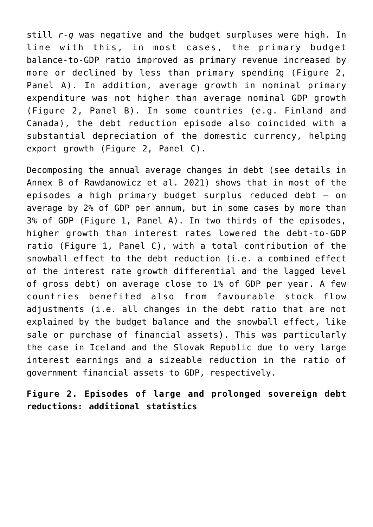still *r-g* was negative and the budget surpluses were high. In line with this, in most cases, the primary budget balance-to-GDP ratio improved as primary revenue increased by more or declined by less than primary spending (Figure 2, Panel A). In addition, average growth in nominal primary expenditure was not higher than average nominal GDP growth (Figure 2, Panel B). In some countries (e.g. Finland and Canada), the debt reduction episode also coincided with a substantial depreciation of the domestic currency, helping export growth (Figure 2, Panel C).

Decomposing the annual average changes in debt (see details in [Annex B of Rawdanowicz et al. 2021\)](https://www.oecd-ilibrary.org/docserver/602500be-en.pdf?expires=1648633486&id=id&accname=ocid84004878&checksum=0211CCCDEDCB1502F816246B7DA3966E) shows that in most of the episodes a high primary budget surplus reduced debt – on average by 2% of GDP per annum, but in some cases by more than 3% of GDP (Figure 1, Panel A). In two thirds of the episodes, higher growth than interest rates lowered the debt-to-GDP ratio (Figure 1, Panel C), with a total contribution of the snowball effect to the debt reduction (i.e. a combined effect of the interest rate growth differential and the lagged level of gross debt) on average close to 1% of GDP per year. A few countries benefited also from favourable stock flow adjustments (i.e. all changes in the debt ratio that are not explained by the budget balance and the snowball effect, like sale or purchase of financial assets). This was particularly the case in Iceland and the Slovak Republic due to very large interest earnings and a sizeable reduction in the ratio of government financial assets to GDP, respectively.

**Figure 2. Episodes of large and prolonged sovereign debt reductions: additional statistics**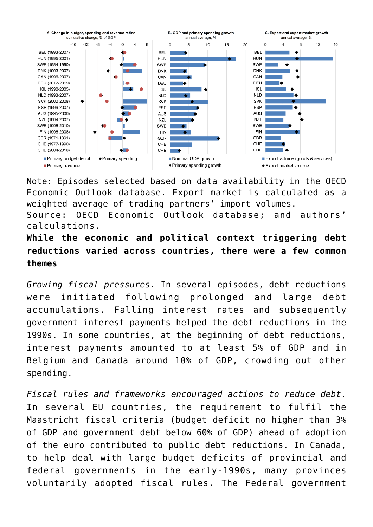

Note: Episodes selected based on data availability in the OECD Economic Outlook database. Export market is calculated as a weighted average of trading partners' import volumes.

Source: OECD Economic Outlook database; and authors' calculations.

**While the economic and political context triggering debt reductions varied across countries, there were a few common themes**

*Growing fiscal pressures*. In several episodes, debt reductions were initiated following prolonged and large debt accumulations. Falling interest rates and subsequently government interest payments helped the debt reductions in the 1990s. In some countries, at the beginning of debt reductions, interest payments amounted to at least 5% of GDP and in Belgium and Canada around 10% of GDP, crowding out other spending.

*Fiscal rules and frameworks encouraged actions to reduce debt*. In several EU countries, the requirement to fulfil the Maastricht fiscal criteria (budget deficit no higher than 3% of GDP and government debt below 60% of GDP) ahead of adoption of the euro contributed to public debt reductions. In Canada, to help deal with large budget deficits of provincial and federal governments in the early-1990s, many provinces voluntarily adopted fiscal rules. The Federal government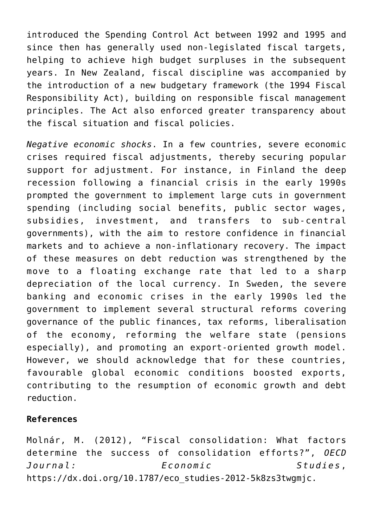introduced the Spending Control Act between 1992 and 1995 and since then has generally used non-legislated fiscal targets, helping to achieve high budget surpluses in the subsequent years. In New Zealand, fiscal discipline was accompanied by the introduction of a new budgetary framework (the 1994 Fiscal Responsibility Act), building on responsible fiscal management principles. The Act also enforced greater transparency about the fiscal situation and fiscal policies.

*Negative economic shocks*. In a few countries, severe economic crises required fiscal adjustments, thereby securing popular support for adjustment. For instance, in Finland the deep recession following a financial crisis in the early 1990s prompted the government to implement large cuts in government spending (including social benefits, public sector wages, subsidies, investment, and transfers to sub-central governments), with the aim to restore confidence in financial markets and to achieve a non-inflationary recovery. The impact of these measures on debt reduction was strengthened by the move to a floating exchange rate that led to a sharp depreciation of the local currency. In Sweden, the severe banking and economic crises in the early 1990s led the government to implement several structural reforms covering governance of the public finances, tax reforms, liberalisation of the economy, reforming the welfare state (pensions especially), and promoting an export-oriented growth model. However, we should acknowledge that for these countries, favourable global economic conditions boosted exports, contributing to the resumption of economic growth and debt reduction.

## **References**

Molnár, M. (2012), "Fiscal consolidation: What factors determine the success of consolidation efforts?", *OECD Journal: Economic Studies*, [https://dx.doi.org/10.1787/eco\\_studies-2012-5k8zs3twgmjc.](https://dx.doi.org/10.1787/eco_studies-2012-5k8zs3twgmjc)